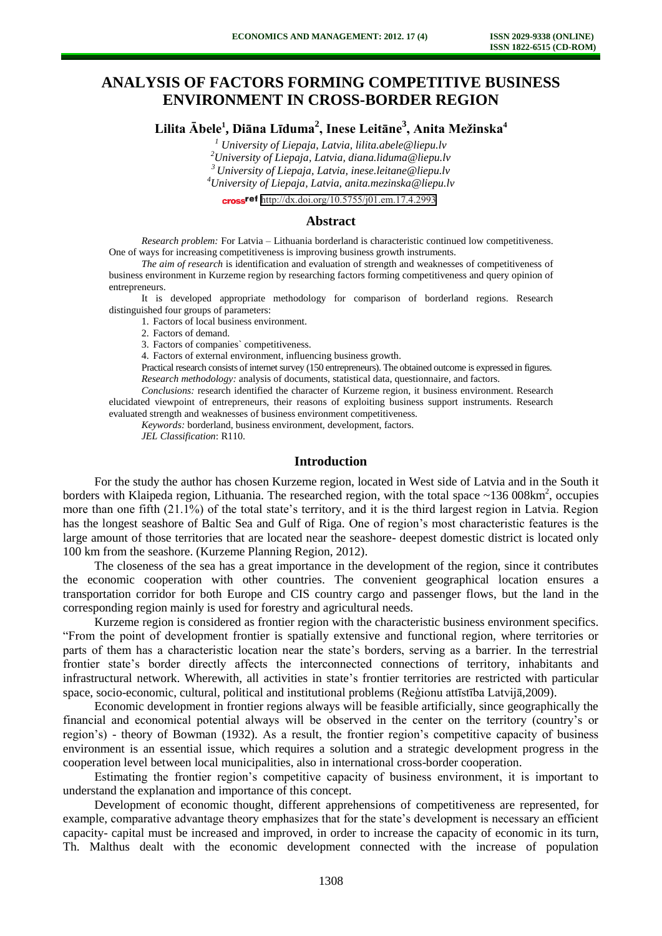# **ANALYSIS OF FACTORS FORMING COMPETITIVE BUSINESS ENVIRONMENT IN CROSS-BORDER REGION**

**Lilita Ābele<sup>1</sup> , Diāna Līduma<sup>2</sup> , Inese Leitāne<sup>3</sup> , Anita Mežinska<sup>4</sup>**

  *University of Liepaja, Latvia, lilita.abele@liepu.lv University of Liepaja, Latvia, diana.liduma@liepu.lv University of Liepaja, Latvia, [inese.leitane@liepu.lv](mailto:inese.leitane@liepu.lv) University of Liepaja, Latvia, anita.mezinska@liepu.lv*

cross<sup>ref</sup> <http://dx.doi.org/10.5755/j01.em.17.4.2993>

#### **Abstract**

*Research problem:* For Latvia – Lithuania borderland is characteristic continued low competitiveness. One of ways for increasing competitiveness is improving business growth instruments.

*The aim of research* is identification and evaluation of strength and weaknesses of competitiveness of business environment in Kurzeme region by researching factors forming competitiveness and query opinion of entrepreneurs.

It is developed appropriate methodology for comparison of borderland regions. Research distinguished four groups of parameters:

1. Factors of local business environment.

2. Factors of demand.

3. Factors of companies` competitiveness.

4. Factors of external environment, influencing business growth.

Practical research consists of internet survey (150 entrepreneurs). The obtained outcome is expressed in figures. *Research methodology:* analysis of documents, statistical data, questionnaire, and factors.

*Conclusions:* research identified the character of Kurzeme region, it business environment. Research elucidated viewpoint of entrepreneurs, their reasons of exploiting business support instruments. Research evaluated strength and weaknesses of business environment competitiveness.

*Keywords:* borderland, business environment, development, factors.

*JEL Classification*: R110.

#### **Introduction**

For the study the author has chosen Kurzeme region, located in West side of Latvia and in the South it borders with Klaipeda region, Lithuania. The researched region, with the total space  $\sim$ 136 008km<sup>2</sup>, occupies more than one fifth (21.1%) of the total state's territory, and it is the third largest region in Latvia. Region has the longest seashore of Baltic Sea and Gulf of Riga. One of region's most characteristic features is the large amount of those territories that are located near the seashore- deepest domestic district is located only 100 km from the seashore. (Kurzeme Planning Region, 2012).

The closeness of the sea has a great importance in the development of the region, since it contributes the economic cooperation with other countries. The convenient geographical location ensures a transportation corridor for both Europe and CIS country cargo and passenger flows, but the land in the corresponding region mainly is used for forestry and agricultural needs.

Kurzeme region is considered as frontier region with the characteristic business environment specifics. "From the point of development frontier is spatially extensive and functional region, where territories or parts of them has a characteristic location near the state's borders, serving as a barrier. In the terrestrial frontier state's border directly affects the interconnected connections of territory, inhabitants and infrastructural network. Wherewith, all activities in state's frontier territories are restricted with particular space, socio-economic, cultural, political and institutional problems (Reģionu attīstība Latvijā,2009).

Economic development in frontier regions always will be feasible artificially, since geographically the financial and economical potential always will be observed in the center on the territory (country's or region's) - theory of Bowman (1932). As a result, the frontier region's competitive capacity of business environment is an essential issue, which requires a solution and a strategic development progress in the cooperation level between local municipalities, also in international cross-border cooperation.

Estimating the frontier region's competitive capacity of business environment, it is important to understand the explanation and importance of this concept.

Development of economic thought, different apprehensions of competitiveness are represented, for example, comparative advantage theory emphasizes that for the state's development is necessary an efficient capacity- capital must be increased and improved, in order to increase the capacity of economic in its turn, Th. Malthus dealt with the economic development connected with the increase of population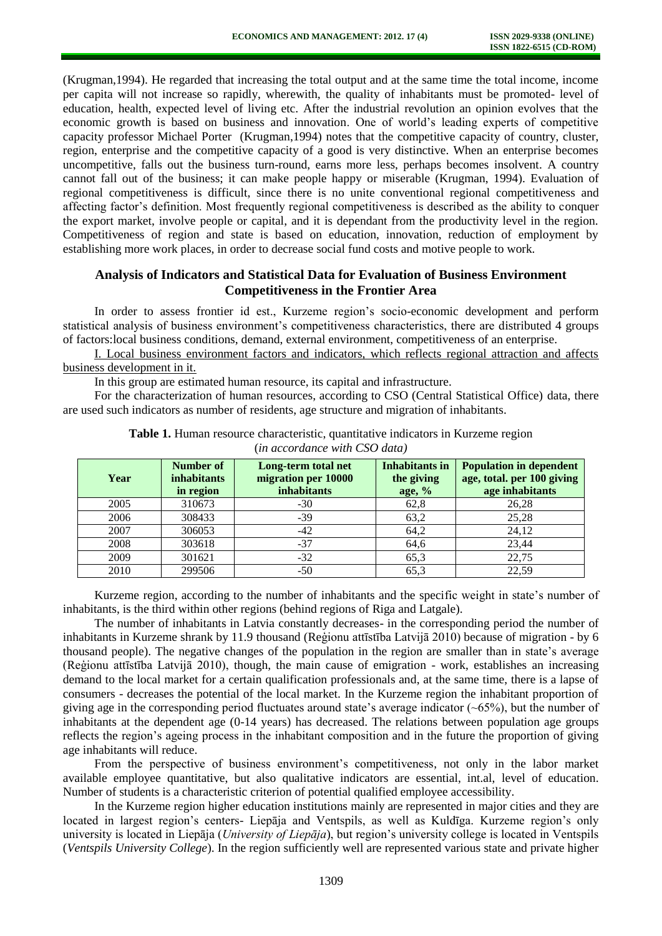(Krugman,1994). He regarded that increasing the total output and at the same time the total income, income per capita will not increase so rapidly, wherewith, the quality of inhabitants must be promoted- level of education, health, expected level of living etc. After the industrial revolution an opinion evolves that the economic growth is based on business and innovation. One of world's leading experts of competitive capacity professor Michael Porter (Krugman,1994) notes that the competitive capacity of country, cluster, region, enterprise and the competitive capacity of a good is very distinctive. When an enterprise becomes uncompetitive, falls out the business turn-round, earns more less, perhaps becomes insolvent. A country cannot fall out of the business; it can make people happy or miserable (Krugman, 1994). Evaluation of regional competitiveness is difficult, since there is no unite conventional regional competitiveness and affecting factor's definition. Most frequently regional competitiveness is described as the ability to conquer the export market, involve people or capital, and it is dependant from the productivity level in the region. Competitiveness of region and state is based on education, innovation, reduction of employment by establishing more work places, in order to decrease social fund costs and motive people to work.

## **Analysis of Indicators and Statistical Data for Evaluation of Business Environment Competitiveness in the Frontier Area**

In order to assess frontier id est., Kurzeme region's socio-economic development and perform statistical analysis of business environment's competitiveness characteristics, there are distributed 4 groups of factors:local business conditions, demand, external environment, competitiveness of an enterprise.

I. Local business environment factors and indicators, which reflects regional attraction and affects business development in it.

In this group are estimated human resource, its capital and infrastructure.

For the characterization of human resources, according to CSO (Central Statistical Office) data, there are used such indicators as number of residents, age structure and migration of inhabitants.

| Year | Number of<br><i>inhabitants</i><br>in region | Long-term total net<br>migration per 10000<br><i>inhabitants</i> | <b>Inhabitants</b> in<br>the giving<br>age, $%$ | <b>Population in dependent</b><br>age, total. per 100 giving<br>age inhabitants |
|------|----------------------------------------------|------------------------------------------------------------------|-------------------------------------------------|---------------------------------------------------------------------------------|
| 2005 | 310673                                       | $-30$                                                            | 62,8                                            | 26,28                                                                           |
| 2006 | 308433                                       | $-39$                                                            | 63,2                                            | 25,28                                                                           |
| 2007 | 306053                                       | $-42$                                                            | 64,2                                            | 24,12                                                                           |
| 2008 | 303618                                       | $-37$                                                            | 64,6                                            | 23,44                                                                           |
| 2009 | 301621                                       | $-32$                                                            | 65,3                                            | 22.75                                                                           |
| 2010 | 299506                                       | $-50$                                                            | 65,3                                            | 22,59                                                                           |

**Table 1.** Human resource characteristic, quantitative indicators in Kurzeme region (*in accordance with CSO data)*

Kurzeme region, according to the number of inhabitants and the specific weight in state's number of inhabitants, is the third within other regions (behind regions of Riga and Latgale).

The number of inhabitants in Latvia constantly decreases- in the corresponding period the number of inhabitants in Kurzeme shrank by 11.9 thousand (Reģionu attīstība Latvijā 2010) because of migration - by 6 thousand people). The negative changes of the population in the region are smaller than in state's average (Reģionu attīstība Latvijā 2010), though, the main cause of emigration - work, establishes an increasing demand to the local market for a certain qualification professionals and, at the same time, there is a lapse of consumers - decreases the potential of the local market. In the Kurzeme region the inhabitant proportion of giving age in the corresponding period fluctuates around state's average indicator  $(-65\%)$ , but the number of inhabitants at the dependent age (0-14 years) has decreased. The relations between population age groups reflects the region's ageing process in the inhabitant composition and in the future the proportion of giving age inhabitants will reduce.

From the perspective of business environment's competitiveness, not only in the labor market available employee quantitative, but also qualitative indicators are essential, int.al, level of education. Number of students is a characteristic criterion of potential qualified employee accessibility.

In the Kurzeme region higher education institutions mainly are represented in major cities and they are located in largest region's centers- Liepāja and Ventspils, as well as Kuldīga. Kurzeme region's only university is located in Liepāja (*University of Liepāja*), but region's university college is located in Ventspils (*Ventspils University College*). In the region sufficiently well are represented various state and private higher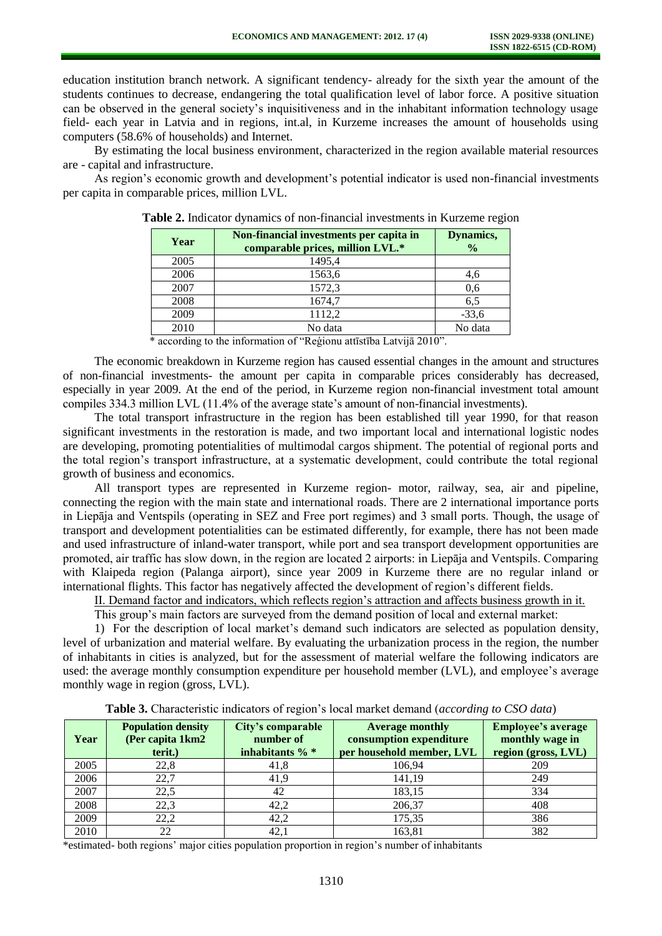education institution branch network. A significant tendency- already for the sixth year the amount of the students continues to decrease, endangering the total qualification level of labor force. A positive situation can be observed in the general society's inquisitiveness and in the inhabitant information technology usage field- each year in Latvia and in regions, int.al, in Kurzeme increases the amount of households using computers (58.6% of households) and Internet.

By estimating the local business environment, characterized in the region available material resources are - capital and infrastructure.

As region's economic growth and development's potential indicator is used non-financial investments per capita in comparable prices, million LVL.

| Year | Non-financial investments per capita in<br>comparable prices, million LVL.* | Dynamics,<br>$\frac{1}{2}$ |
|------|-----------------------------------------------------------------------------|----------------------------|
| 2005 | 1495,4                                                                      |                            |
| 2006 | 1563,6                                                                      | 4.6                        |
| 2007 | 1572,3                                                                      | 0.6                        |
| 2008 | 1674,7                                                                      | 6,5                        |
| 2009 | 1112,2                                                                      | $-33,6$                    |
| 2010 | No data                                                                     | No data                    |

| Table 2. Indicator dynamics of non-financial investments in Kurzeme region |  |
|----------------------------------------------------------------------------|--|
|----------------------------------------------------------------------------|--|

\* according to the information of "Reģionu attīstība Latvijā 2010".

The economic breakdown in Kurzeme region has caused essential changes in the amount and structures of non-financial investments- the amount per capita in comparable prices considerably has decreased, especially in year 2009. At the end of the period, in Kurzeme region non-financial investment total amount compiles 334.3 million LVL (11.4% of the average state's amount of non-financial investments).

The total transport infrastructure in the region has been established till year 1990, for that reason significant investments in the restoration is made, and two important local and international logistic nodes are developing, promoting potentialities of multimodal cargos shipment. The potential of regional ports and the total region's transport infrastructure, at a systematic development, could contribute the total regional growth of business and economics.

All transport types are represented in Kurzeme region- motor, railway, sea, air and pipeline, connecting the region with the main state and international roads. There are 2 international importance ports in Liepāja and Ventspils (operating in SEZ and Free port regimes) and 3 small ports. Though, the usage of transport and development potentialities can be estimated differently, for example, there has not been made and used infrastructure of inland-water transport, while port and sea transport development opportunities are promoted, air traffic has slow down, in the region are located 2 airports: in Liepāja and Ventspils. Comparing with Klaipeda region (Palanga airport), since year 2009 in Kurzeme there are no regular inland or international flights. This factor has negatively affected the development of region's different fields.

II. Demand factor and indicators, which reflects region's attraction and affects business growth in it.

This group's main factors are surveyed from the demand position of local and external market:

1) For the description of local market's demand such indicators are selected as population density, level of urbanization and material welfare. By evaluating the urbanization process in the region, the number of inhabitants in cities is analyzed, but for the assessment of material welfare the following indicators are used: the average monthly consumption expenditure per household member (LVL), and employee's average monthly wage in region (gross, LVL).

| Year | <b>Population density</b><br>(Per capita 1km2 | City's comparable<br>number of | <b>Average monthly</b><br>consumption expenditure | <b>Employee's average</b><br>monthly wage in |  |  |  |
|------|-----------------------------------------------|--------------------------------|---------------------------------------------------|----------------------------------------------|--|--|--|
|      | terit.)                                       | inhabitants $\%$ *             | per household member, LVL                         | region (gross, LVL)                          |  |  |  |
| 2005 | 22,8                                          | 41,8                           | 106,94                                            | 209                                          |  |  |  |
| 2006 | 22,7                                          | 41,9                           | 141,19                                            | 249                                          |  |  |  |
| 2007 | 22,5                                          | 42                             | 183,15                                            | 334                                          |  |  |  |
| 2008 | 22,3                                          | 42,2                           | 206,37                                            | 408                                          |  |  |  |
| 2009 | 22,2                                          | 42,2                           | 175,35                                            | 386                                          |  |  |  |
| 2010 | 22                                            | 42,1                           | 163,81                                            | 382                                          |  |  |  |

**Table 3.** Characteristic indicators of region's local market demand (*according to CSO data*)

\*estimated- both regions' major cities population proportion in region's number of inhabitants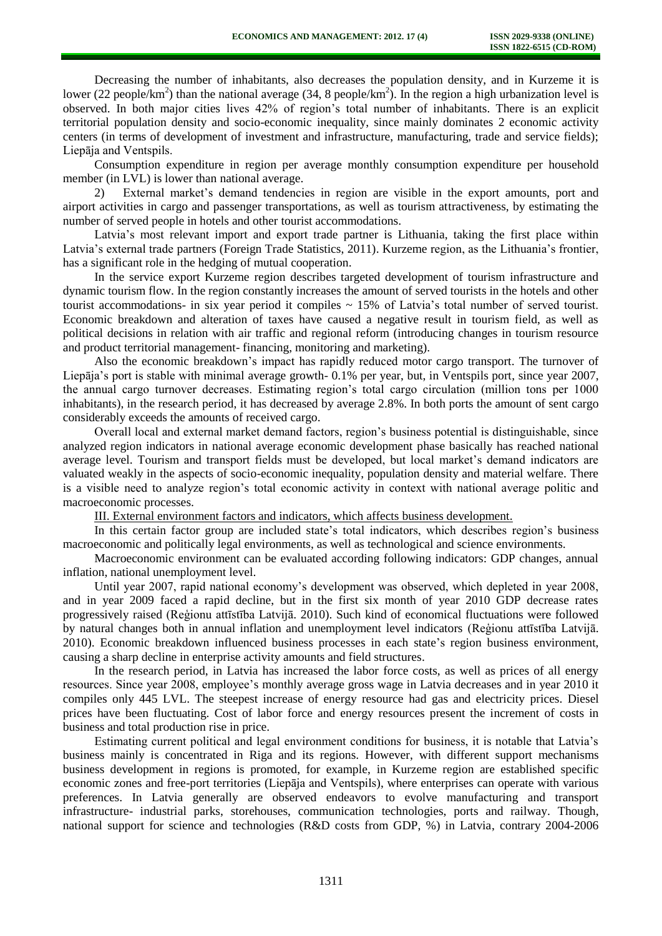Decreasing the number of inhabitants, also decreases the population density, and in Kurzeme it is lower (22 people/km<sup>2</sup>) than the national average (34, 8 people/km<sup>2</sup>). In the region a high urbanization level is observed. In both major cities lives 42% of region's total number of inhabitants. There is an explicit territorial population density and socio-economic inequality, since mainly dominates 2 economic activity centers (in terms of development of investment and infrastructure, manufacturing, trade and service fields); Liepāja and Ventspils.

Consumption expenditure in region per average monthly consumption expenditure per household member (in LVL) is lower than national average.

2) External market's demand tendencies in region are visible in the export amounts, port and airport activities in cargo and passenger transportations, as well as tourism attractiveness, by estimating the number of served people in hotels and other tourist accommodations.

Latvia's most relevant import and export trade partner is Lithuania, taking the first place within Latvia's external trade partners (Foreign Trade Statistics, 2011). Kurzeme region, as the Lithuania's frontier, has a significant role in the hedging of mutual cooperation.

In the service export Kurzeme region describes targeted development of tourism infrastructure and dynamic tourism flow. In the region constantly increases the amount of served tourists in the hotels and other tourist accommodations- in six year period it compiles  $\sim 15\%$  of Latvia's total number of served tourist. Economic breakdown and alteration of taxes have caused a negative result in tourism field, as well as political decisions in relation with air traffic and regional reform (introducing changes in tourism resource and product territorial management- financing, monitoring and marketing).

Also the economic breakdown's impact has rapidly reduced motor cargo transport. The turnover of Liepāja's port is stable with minimal average growth- 0.1% per year, but, in Ventspils port, since year 2007, the annual cargo turnover decreases. Estimating region's total cargo circulation (million tons per 1000 inhabitants), in the research period, it has decreased by average 2.8%. In both ports the amount of sent cargo considerably exceeds the amounts of received cargo.

Overall local and external market demand factors, region's business potential is distinguishable, since analyzed region indicators in national average economic development phase basically has reached national average level. Tourism and transport fields must be developed, but local market's demand indicators are valuated weakly in the aspects of socio-economic inequality, population density and material welfare. There is a visible need to analyze region's total economic activity in context with national average politic and macroeconomic processes.

III. External environment factors and indicators, which affects business development.

In this certain factor group are included state's total indicators, which describes region's business macroeconomic and politically legal environments, as well as technological and science environments.

Macroeconomic environment can be evaluated according following indicators: GDP changes, annual inflation, national unemployment level.

Until year 2007, rapid national economy's development was observed, which depleted in year 2008, and in year 2009 faced a rapid decline, but in the first six month of year 2010 GDP decrease rates progressively raised (Reģionu attīstība Latvijā. 2010). Such kind of economical fluctuations were followed by natural changes both in annual inflation and unemployment level indicators (Reģionu attīstība Latvijā. 2010). Economic breakdown influenced business processes in each state's region business environment, causing a sharp decline in enterprise activity amounts and field structures.

In the research period, in Latvia has increased the labor force costs, as well as prices of all energy resources. Since year 2008, employee's monthly average gross wage in Latvia decreases and in year 2010 it compiles only 445 LVL. The steepest increase of energy resource had gas and electricity prices. Diesel prices have been fluctuating. Cost of labor force and energy resources present the increment of costs in business and total production rise in price.

Estimating current political and legal environment conditions for business, it is notable that Latvia's business mainly is concentrated in Riga and its regions. However, with different support mechanisms business development in regions is promoted, for example, in Kurzeme region are established specific economic zones and free-port territories (Liepāja and Ventspils), where enterprises can operate with various preferences. In Latvia generally are observed endeavors to evolve manufacturing and transport infrastructure- industrial parks, storehouses, communication technologies, ports and railway. Though, national support for science and technologies (R&D costs from GDP, %) in Latvia, contrary 2004-2006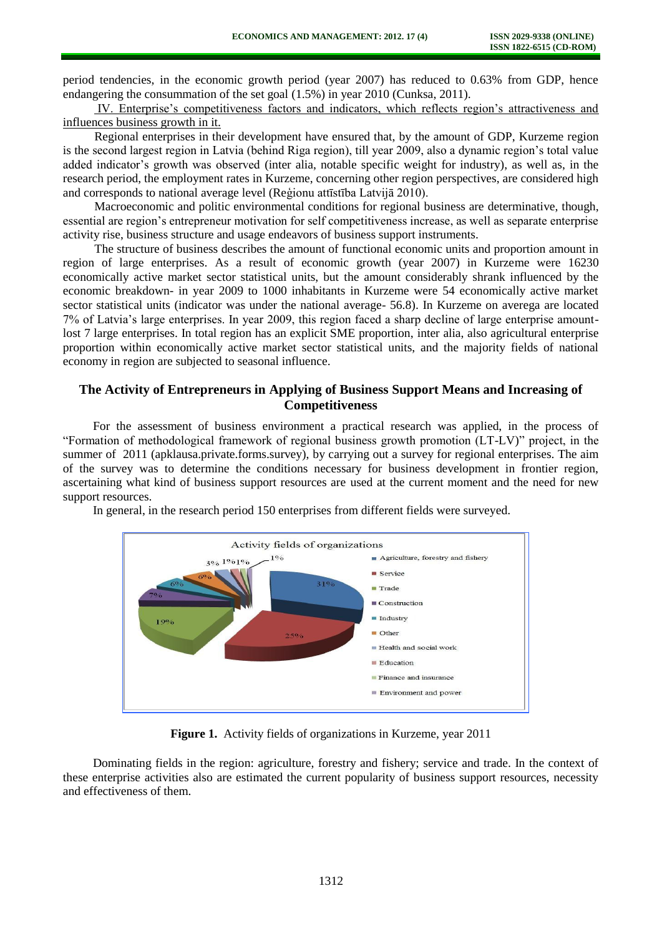period tendencies, in the economic growth period (year 2007) has reduced to 0.63% from GDP, hence endangering the consummation of the set goal (1.5%) in year 2010 (Cunksa, 2011).

IV. Enterprise's competitiveness factors and indicators, which reflects region's attractiveness and influences business growth in it.

Regional enterprises in their development have ensured that, by the amount of GDP, Kurzeme region is the second largest region in Latvia (behind Riga region), till year 2009, also a dynamic region's total value added indicator's growth was observed (inter alia, notable specific weight for industry), as well as, in the research period, the employment rates in Kurzeme, concerning other region perspectives, are considered high and corresponds to national average level (Reģionu attīstība Latvijā 2010).

Macroeconomic and politic environmental conditions for regional business are determinative, though, essential are region's entrepreneur motivation for self competitiveness increase, as well as separate enterprise activity rise, business structure and usage endeavors of business support instruments.

The structure of business describes the amount of functional economic units and proportion amount in region of large enterprises. As a result of economic growth (year 2007) in Kurzeme were 16230 economically active market sector statistical units, but the amount considerably shrank influenced by the economic breakdown- in year 2009 to 1000 inhabitants in Kurzeme were 54 economically active market sector statistical units (indicator was under the national average- 56.8). In Kurzeme on averega are located 7% of Latvia's large enterprises. In year 2009, this region faced a sharp decline of large enterprise amountlost 7 large enterprises. In total region has an explicit SME proportion, inter alia, also agricultural enterprise proportion within economically active market sector statistical units, and the majority fields of national economy in region are subjected to seasonal influence.

## **The Activity of Entrepreneurs in Applying of Business Support Means and Increasing of Competitiveness**

For the assessment of business environment a practical research was applied, in the process of "Formation of methodological framework of regional business growth promotion (LT-LV)" project, in the summer of 2011 (apklausa.private.forms.survey), by carrying out a survey for regional enterprises. The aim of the survey was to determine the conditions necessary for business development in frontier region, ascertaining what kind of business support resources are used at the current moment and the need for new support resources.

In general, in the research period 150 enterprises from different fields were surveyed.



**Figure 1.** Activity fields of organizations in Kurzeme, year 2011

Dominating fields in the region: agriculture, forestry and fishery; service and trade. In the context of these enterprise activities also are estimated the current popularity of business support resources, necessity and effectiveness of them.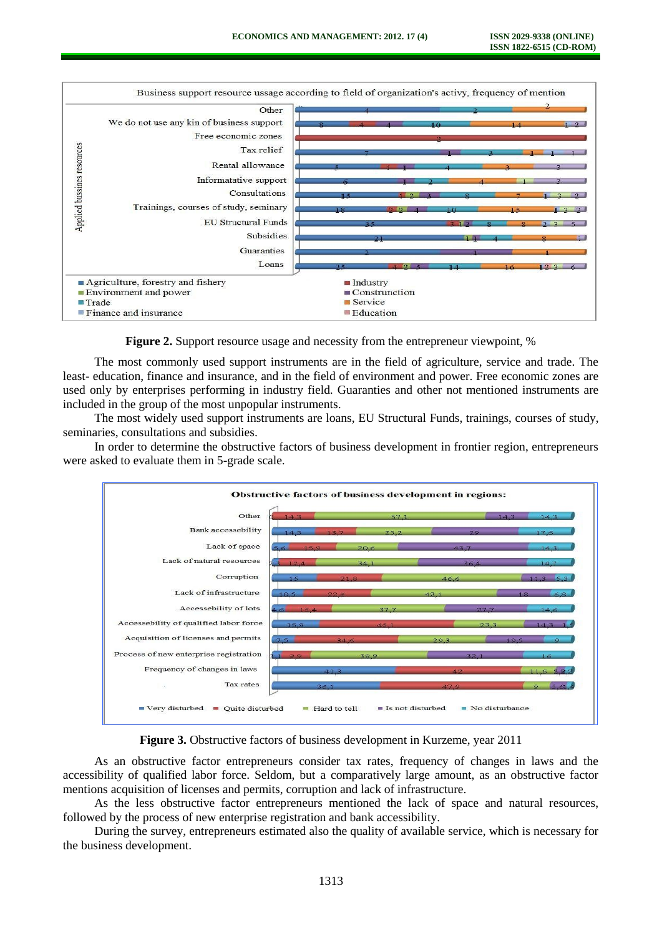

**Figure 2.** Support resource usage and necessity from the entrepreneur viewpoint, %

The most commonly used support instruments are in the field of agriculture, service and trade. The least- education, finance and insurance, and in the field of environment and power. Free economic zones are used only by enterprises performing in industry field. Guaranties and other not mentioned instruments are included in the group of the most unpopular instruments.

The most widely used support instruments are loans, EU Structural Funds, trainings, courses of study, seminaries, consultations and subsidies.

In order to determine the obstructive factors of business development in frontier region, entrepreneurs were asked to evaluate them in 5-grade scale.



**Figure 3.** Obstructive factors of business development in Kurzeme, year 2011

As an obstructive factor entrepreneurs consider tax rates, frequency of changes in laws and the accessibility of qualified labor force. Seldom, but a comparatively large amount, as an obstructive factor mentions acquisition of licenses and permits, corruption and lack of infrastructure.

As the less obstructive factor entrepreneurs mentioned the lack of space and natural resources, followed by the process of new enterprise registration and bank accessibility.

During the survey, entrepreneurs estimated also the quality of available service, which is necessary for the business development.